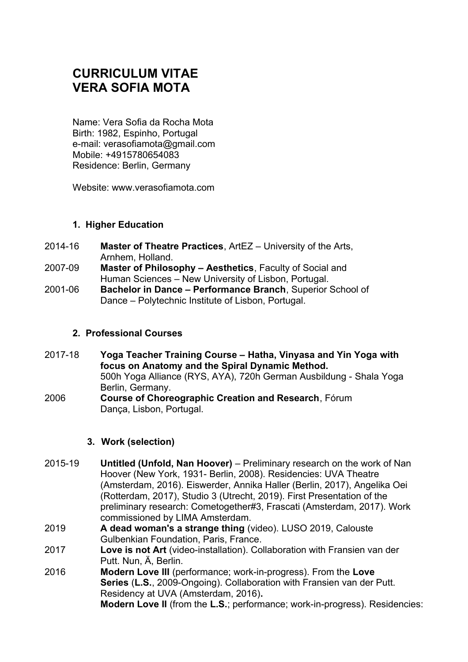# **CURRICULUM VITAE VERA SOFIA MOTA**

Name: Vera Sofia da Rocha Mota Birth: 1982, Espinho, Portugal e-mail: verasofiamota@gmail.com Mobile: +4915780654083 Residence: Berlin, Germany

Website: www.verasofiamota.com

# **1. Higher Education**

- 2014-16 **Master of Theatre Practices**, ArtEZ University of the Arts, Arnhem, Holland.
- 2007-09 **Master of Philosophy Aesthetics**, Faculty of Social and Human Sciences – New University of Lisbon, Portugal.
- 2001-06 **Bachelor in Dance Performance Branch**, Superior School of Dance – Polytechnic Institute of Lisbon, Portugal.

# **2. Professional Courses**

2017-18 **Yoga Teacher Training Course – Hatha, Vinyasa and Yin Yoga with focus on Anatomy and the Spiral Dynamic Method.** 500h Yoga Alliance (RYS, AYA), 720h German Ausbildung - Shala Yoga Berlin, Germany. 2006 **Course of Choreographic Creation and Research**, Fórum Dança, Lisbon, Portugal.

#### **3. Work (selection)**

- 2015-19 **Untitled (Unfold, Nan Hoover)** Preliminary research on the work of Nan Hoover (New York, 1931- Berlin, 2008). Residencies: UVA Theatre (Amsterdam, 2016). Eiswerder, Annika Haller (Berlin, 2017), Angelika Oei (Rotterdam, 2017), Studio 3 (Utrecht, 2019). First Presentation of the preliminary research: Cometogether#3, Frascati (Amsterdam, 2017). Work commissioned by LIMA Amsterdam.
- 2019 **A dead woman's a strange thing** (video). LUSO 2019, Calouste Gulbenkian Foundation, Paris, France.
- 2017 **Love is not Art** (video-installation). Collaboration with Fransien van der Putt. Nun, Ä, Berlin.
- 2016 **Modern Love III** (performance; work-in-progress). From the **Love Series** (**L.S.**, 2009-Ongoing). Collaboration with Fransien van der Putt. Residency at UVA (Amsterdam, 2016)**. Modern Love II** (from the **L.S.**; performance; work-in-progress). Residencies: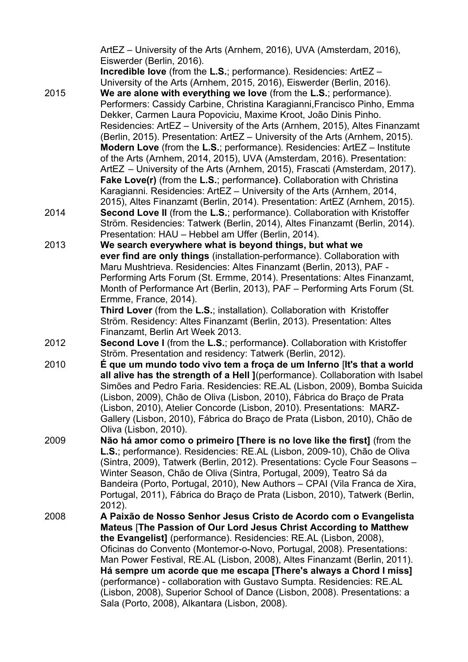ArtEZ – University of the Arts (Arnhem, 2016), UVA (Amsterdam, 2016), Eiswerder (Berlin, 2016). **Incredible love** (from the **L.S.**; performance). Residencies: ArtEZ – University of the Arts (Arnhem, 2015, 2016), Eiswerder (Berlin, 2016). 2015 **We are alone with everything we love** (from the **L.S.**; performance). Performers: Cassidy Carbine, Christina Karagianni,Francisco Pinho, Emma Dekker, Carmen Laura Popoviciu, Maxime Kroot, João Dinis Pinho. Residencies: ArtEZ – University of the Arts (Arnhem, 2015), Altes Finanzamt (Berlin, 2015). Presentation: ArtEZ – University of the Arts (Arnhem, 2015). **Modern Love** (from the **L.S.**; performance). Residencies: ArtEZ – Institute of the Arts (Arnhem, 2014, 2015), UVA (Amsterdam, 2016). Presentation: ArtEZ – University of the Arts (Arnhem, 2015), Frascati (Amsterdam, 2017). **Fake Love(r)** (from the **L.S.**; performance**)**. Collaboration with Christina Karagianni. Residencies: ArtEZ – University of the Arts (Arnhem, 2014, 2015), Altes Finanzamt (Berlin, 2014). Presentation: ArtEZ (Arnhem, 2015). 2014 **Second Love II** (from the **L.S.**; performance). Collaboration with Kristoffer Ström. Residencies: Tatwerk (Berlin, 2014), Altes Finanzamt (Berlin, 2014). Presentation: HAU – Hebbel am Uffer (Berlin, 2014). 2013 **We search everywhere what is beyond things, but what we ever find are only things** (installation-performance). Collaboration with Maru Mushtrieva. Residencies: Altes Finanzamt (Berlin, 2013), PAF - Performing Arts Forum (St. Ermme, 2014). Presentations: Altes Finanzamt, Month of Performance Art (Berlin, 2013), PAF – Performing Arts Forum (St. Ermme, France, 2014). **Third Lover** (from the **L.S.**; installation). Collaboration with Kristoffer Ström. Residency: Altes Finanzamt (Berlin, 2013). Presentation: Altes Finanzamt, Berlin Art Week 2013. 2012 **Second Love I** (from the **L.S.**; performance**)**. Collaboration with Kristoffer Ström. Presentation and residency: Tatwerk (Berlin, 2012). 2010 **É que um mundo todo vivo tem a froça de um Inferno** [**It's that a world all alive has the strength of a Hell ]**(performance). Collaboration with Isabel Simões and Pedro Faria. Residencies: RE.AL (Lisbon, 2009), Bomba Suicida (Lisbon, 2009), Chão de Oliva (Lisbon, 2010), Fabrica do Braço de Prata (Lisbon, 2010), Atelier Concorde (Lisbon, 2010). Presentations: MARZ-Gallery (Lisbon, 2010), Fabrica do Braço de Prata (Lisbon, 2010), Chão de Oliva (Lisbon, 2010). 2009 **Não há amor como o primeiro [There is no love like the first]** (from the **L.S.**; performance). Residencies: RE.AL (Lisbon, 2009-10), Chão de Oliva (Sintra, 2009), Tatwerk (Berlin, 2012). Presentations: Cycle Four Seasons – Winter Season, Chão de Oliva (Sintra, Portugal, 2009), Teatro Sá da Bandeira (Porto, Portugal, 2010), New Authors – CPAI (Vila Franca de Xira, Portugal, 2011), Fabrica do Braço de Prata (Lisbon, 2010), Tatwerk (Berlin, 2012). 2008 **A Paixão de Nosso Senhor Jesus Cristo de Acordo com o Evangelista Mateus** [**The Passion of Our Lord Jesus Christ According to Matthew the Evangelist]** (performance). Residencies: RE.AL (Lisbon, 2008), Oficinas do Convento (Montemor-o-Novo, Portugal, 2008). Presentations: Man Power Festival, RE.AL (Lisbon, 2008), Altes Finanzamt (Berlin, 2011). **Há sempre um acorde que me escapa [There's always a Chord I miss]**  (performance) - collaboration with Gustavo Sumpta. Residencies: RE.AL (Lisbon, 2008), Superior School of Dance (Lisbon, 2008). Presentations: a Sala (Porto, 2008), Alkantara (Lisbon, 2008).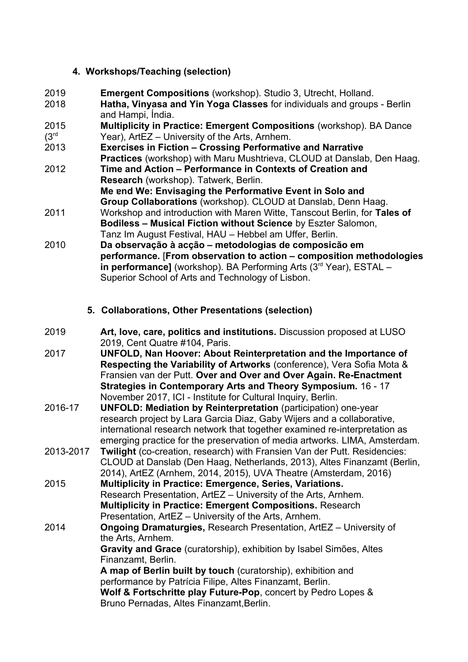# **4. Workshops/Teaching (selection)**

- 2019 **Emergent Compositions** (workshop). Studio 3, Utrecht, Holland.
- 2018 **Hatha, Vinyasa and Yin Yoga Classes** for individuals and groups Berlin and Hampi, Índia.
- 2015 **Multiplicity in Practice: Emergent Compositions** (workshop). BA Dance Year), ArtEZ – University of the Arts, Arnhem.
- 2013 **Exercises in Fiction Crossing Performative and Narrative Practices** (workshop) with Maru Mushtrieva, CLOUD at Danslab, Den Haag.
- 2012 **Time and Action Performance in Contexts of Creation and Research** (workshop). Tatwerk, Berlin. **Me ɐnd We: Envisaging the Performative Event in Solo and**
- **Group Collaborations** (workshop). CLOUD at Danslab, Denn Haag. 2011 Workshop and introduction with Maren Witte, Tanscout Berlin, for **Tales of**
- **Bodiless Musical Fiction without Science** by Eszter Salomon, Tanz Im August Festival, HAU – Hebbel am Uffer, Berlin.
- 2010 **Da observação à acção metodologias de composicão em performance.** [**From observation to action – composition methodologies in performance]** (workshop). BA Performing Arts (3<sup>rd</sup> Year), ESTAL – Superior School of Arts and Technology of Lisbon.

# **5. Collaborations, Other Presentations (selection)**

- 2019 **Art, love, care, politics and institutions.** Discussion proposed at LUSO 2019, Cent Quatre #104, Paris.
- 2017 **UNFOLD, Nan Hoover: About Reinterpretation and the Importance of Respecting the Variability of Artworks** (conference), Vera Sofia Mota & Fransien van der Putt. **Over and Over and Over Again. Re-Enactment Strategies in Contemporary Arts and Theory Symposium.** 16 - 17 November 2017, ICI - Institute for Cultural Inquiry, Berlin.
- 2016-17 **UNFOLD: Mediation by Reinterpretation** (participation) one-year research project by Lara Garcia Diaz, Gaby Wijers and a collaborative, international research network that together examined re-interpretation as emerging practice for the preservation of media artworks. LIMA, Amsterdam.
- 2013-2017 **Twilight** (co-creation, research) with Fransien Van der Putt. Residencies: CLOUD at Danslab (Den Haag, Netherlands, 2013), Altes Finanzamt (Berlin, 2014), ArtEZ (Arnhem, 2014, 2015), UVA Theatre (Amsterdam, 2016)
- 2015 **Multiplicity in Practice: Emergence, Series, Variations.**  Research Presentation, ArtEZ – University of the Arts, Arnhem. **Multiplicity in Practice: Emergent Compositions.** Research Presentation, ArtEZ – University of the Arts, Arnhem.
- 2014 **Ongoing Dramaturgies,** Research Presentation, ArtEZ University of the Arts, Arnhem. **Gravity and Grace** (curatorship), exhibition by Isabel Simões, Altes

Finanzamt, Berlin.

**A map of Berlin built by touch** (curatorship), exhibition and performance by Patrícia Filipe, Altes Finanzamt, Berlin. **Wolf & Fortschritte play Future-Pop**, concert by Pedro Lopes & Bruno Pernadas, Altes Finanzamt,Berlin.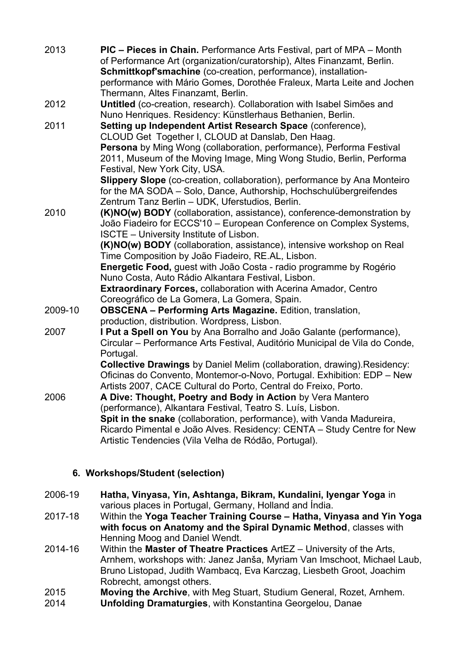| 2013    | <b>PIC</b> – Pieces in Chain. Performance Arts Festival, part of MPA – Month<br>of Performance Art (organization/curatorship), Altes Finanzamt, Berlin.<br>Schmittkopf'smachine (co-creation, performance), installation-<br>performance with Mário Gomes, Dorothée Fraleux, Marta Leite and Jochen<br>Thermann, Altes Finanzamt, Berlin.                                                                                                                                                                                           |
|---------|-------------------------------------------------------------------------------------------------------------------------------------------------------------------------------------------------------------------------------------------------------------------------------------------------------------------------------------------------------------------------------------------------------------------------------------------------------------------------------------------------------------------------------------|
| 2012    | Untitled (co-creation, research). Collaboration with Isabel Simões and<br>Nuno Henriques. Residency: Künstlerhaus Bethanien, Berlin.                                                                                                                                                                                                                                                                                                                                                                                                |
| 2011    | Setting up Independent Artist Research Space (conference),<br>CLOUD Get Together I, CLOUD at Danslab, Den Haag.<br>Persona by Ming Wong (collaboration, performance), Performa Festival<br>2011, Museum of the Moving Image, Ming Wong Studio, Berlin, Performa<br>Festival, New York City, USA.                                                                                                                                                                                                                                    |
|         | <b>Slippery Slope</b> (co-creation, collaboration), performance by Ana Monteiro<br>for the MA SODA – Solo, Dance, Authorship, Hochschulübergreifendes<br>Zentrum Tanz Berlin - UDK, Uferstudios, Berlin.                                                                                                                                                                                                                                                                                                                            |
| 2010    | (K)NO(w) BODY (collaboration, assistance), conference-demonstration by<br>João Fiadeiro for ECCS'10 - European Conference on Complex Systems,<br><b>ISCTE</b> – University Institute of Lisbon.<br>(K)NO(w) BODY (collaboration, assistance), intensive workshop on Real<br>Time Composition by João Fiadeiro, RE.AL, Lisbon.<br>Energetic Food, guest with João Costa - radio programme by Rogério<br>Nuno Costa, Auto Rádio Alkantara Festival, Lisbon.<br><b>Extraordinary Forces, collaboration with Acerina Amador, Centro</b> |
| 2009-10 | Coreográfico de La Gomera, La Gomera, Spain.<br><b>OBSCENA - Performing Arts Magazine.</b> Edition, translation,                                                                                                                                                                                                                                                                                                                                                                                                                    |
| 2007    | production, distribution. Wordpress, Lisbon.<br>I Put a Spell on You by Ana Borralho and João Galante (performance),<br>Circular – Performance Arts Festival, Auditório Municipal de Vila do Conde,<br>Portugal.                                                                                                                                                                                                                                                                                                                    |
|         | <b>Collective Drawings</b> by Daniel Melim (collaboration, drawing). Residency:<br>Oficinas do Convento, Montemor-o-Novo, Portugal. Exhibition: EDP - New<br>Artists 2007, CACE Cultural do Porto, Central do Freixo, Porto.                                                                                                                                                                                                                                                                                                        |
| 2006    | A Dive: Thought, Poetry and Body in Action by Vera Mantero<br>(performance), Alkantara Festival, Teatro S. Luís, Lisbon.<br>Spit in the snake (collaboration, performance), with Vanda Madureira,<br>Ricardo Pimental e João Alves. Residency: CENTA – Study Centre for New<br>Artistic Tendencies (Vila Velha de Ródão, Portugal).                                                                                                                                                                                                 |

# **6. Workshops/Student (selection)**

- 2006-19 **Hatha, Vinyasa, Yin, Ashtanga, Bikram, Kundalini, Iyengar Yoga** in various places in Portugal, Germany, Holland and Índia.
- 2017-18 Within the **Yoga Teacher Training Course Hatha, Vinyasa and Yin Yoga with focus on Anatomy and the Spiral Dynamic Method**, classes with Henning Moog and Daniel Wendt.
- 2014-16 Within the **Master of Theatre Practices** ArtEZ University of the Arts, Arnhem, workshops with: Janez Janša, Myriam Van Imschoot, Michael Laub, Bruno Listopad, Judith Wambacq, Eva Karczag, Liesbeth Groot, Joachim Robrecht, amongst others.
- 2015 **Moving the Archive**, with Meg Stuart, Studium General, Rozet, Arnhem.
- 2014 **Unfolding Dramaturgies**, with Konstantina Georgelou, Danae